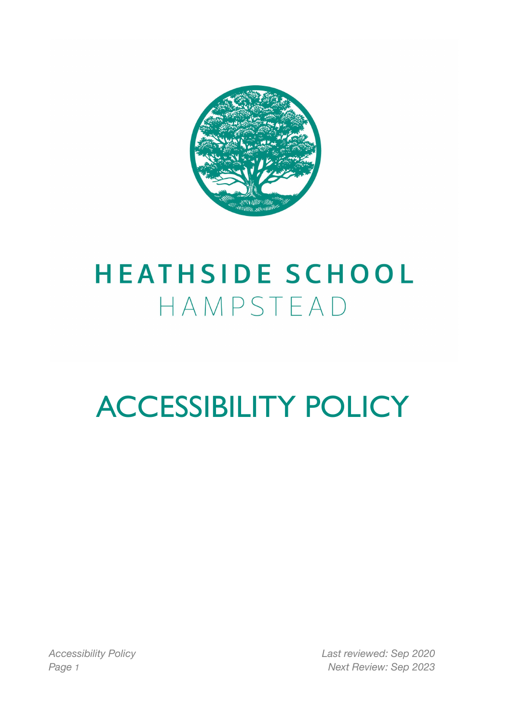

## **HEATHSIDE SCHOOL** HAMPSTEAD

# ACCESSIBILITY POLICY

*Accessibility Policy Last reviewed: Sep 2020 Page 1 Next Review: Sep 2023*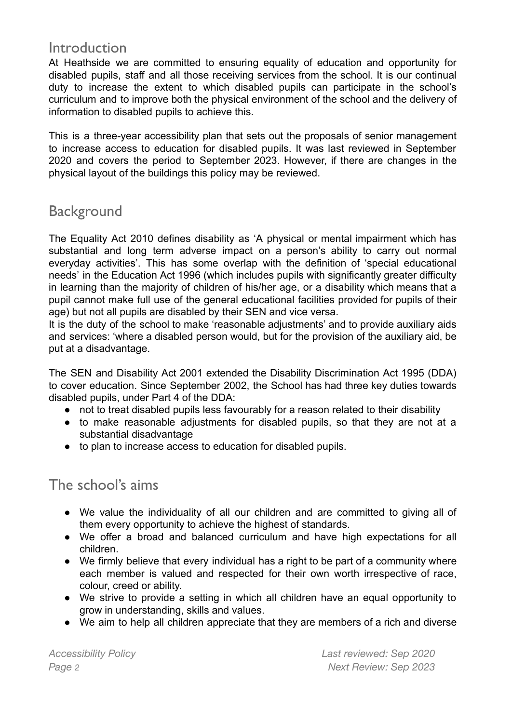### **Introduction**

At Heathside we are committed to ensuring equality of education and opportunity for disabled pupils, staff and all those receiving services from the school. It is our continual duty to increase the extent to which disabled pupils can participate in the school's curriculum and to improve both the physical environment of the school and the delivery of information to disabled pupils to achieve this.

This is a three-year accessibility plan that sets out the proposals of senior management to increase access to education for disabled pupils. It was last reviewed in September 2020 and covers the period to September 2023. However, if there are changes in the physical layout of the buildings this policy may be reviewed.

## **Background**

The Equality Act 2010 defines disability as 'A physical or mental impairment which has substantial and long term adverse impact on a person's ability to carry out normal everyday activities'. This has some overlap with the definition of 'special educational needs' in the Education Act 1996 (which includes pupils with significantly greater difficulty in learning than the majority of children of his/her age, or a disability which means that a pupil cannot make full use of the general educational facilities provided for pupils of their age) but not all pupils are disabled by their SEN and vice versa.

It is the duty of the school to make 'reasonable adjustments' and to provide auxiliary aids and services: 'where a disabled person would, but for the provision of the auxiliary aid, be put at a disadvantage.

The SEN and Disability Act 2001 extended the Disability Discrimination Act 1995 (DDA) to cover education. Since September 2002, the School has had three key duties towards disabled pupils, under Part 4 of the DDA:

- not to treat disabled pupils less favourably for a reason related to their disability
- to make reasonable adjustments for disabled pupils, so that they are not at a substantial disadvantage
- to plan to increase access to education for disabled pupils.

## The school's aims

- We value the individuality of all our children and are committed to giving all of them every opportunity to achieve the highest of standards.
- We offer a broad and balanced curriculum and have high expectations for all children.
- We firmly believe that every individual has a right to be part of a community where each member is valued and respected for their own worth irrespective of race, colour, creed or ability.
- We strive to provide a setting in which all children have an equal opportunity to grow in understanding, skills and values.
- We aim to help all children appreciate that they are members of a rich and diverse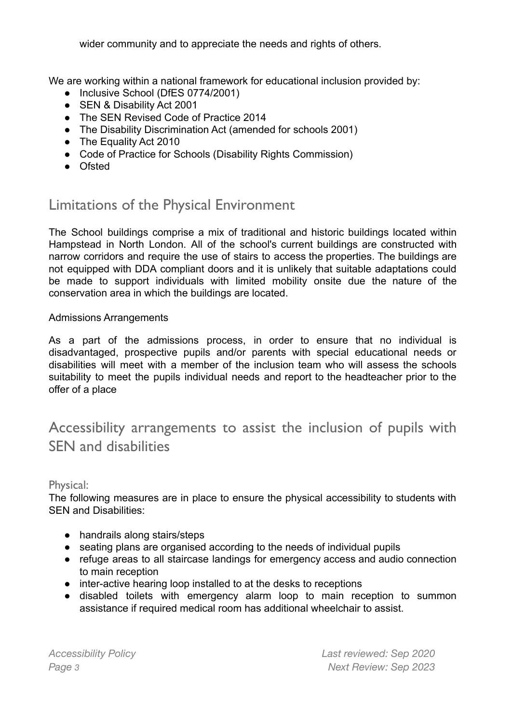wider community and to appreciate the needs and rights of others.

We are working within a national framework for educational inclusion provided by:

- Inclusive School (DfES 0774/2001)
- SEN & Disability Act 2001
- The SEN Revised Code of Practice 2014
- The Disability Discrimination Act (amended for schools 2001)
- The Equality Act 2010
- Code of Practice for Schools (Disability Rights Commission)
- Ofsted

## Limitations of the Physical Environment

The School buildings comprise a mix of traditional and historic buildings located within Hampstead in North London. All of the school's current buildings are constructed with narrow corridors and require the use of stairs to access the properties. The buildings are not equipped with DDA compliant doors and it is unlikely that suitable adaptations could be made to support individuals with limited mobility onsite due the nature of the conservation area in which the buildings are located.

#### Admissions Arrangements

As a part of the admissions process, in order to ensure that no individual is disadvantaged, prospective pupils and/or parents with special educational needs or disabilities will meet with a member of the inclusion team who will assess the schools suitability to meet the pupils individual needs and report to the headteacher prior to the offer of a place

## Accessibility arrangements to assist the inclusion of pupils with SEN and disabilities

#### Physical:

The following measures are in place to ensure the physical accessibility to students with SEN and Disabilities:

- handrails along stairs/steps
- seating plans are organised according to the needs of individual pupils
- refuge areas to all staircase landings for emergency access and audio connection to main reception
- inter-active hearing loop installed to at the desks to receptions
- disabled toilets with emergency alarm loop to main reception to summon assistance if required medical room has additional wheelchair to assist.